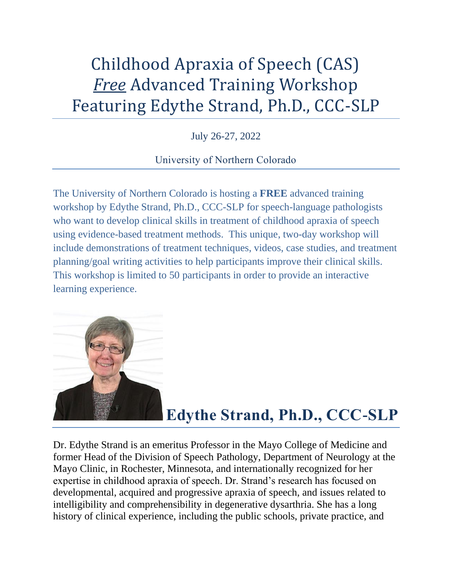# Childhood Apraxia of Speech (CAS) *Free* Advanced Training Workshop Featuring Edythe Strand, Ph.D., CCC-SLP

July 26-27, 2022

### University of Northern Colorado

The University of Northern Colorado is hosting a **FREE** advanced training workshop by Edythe Strand, Ph.D., CCC-SLP for speech-language pathologists who want to develop clinical skills in treatment of childhood apraxia of speech using evidence-based treatment methods. This unique, two-day workshop will include demonstrations of treatment techniques, videos, case studies, and treatment planning/goal writing activities to help participants improve their clinical skills. This workshop is limited to 50 participants in order to provide an interactive learning experience.



## **Edythe Strand, Ph.D., CCC-SLP**

Dr. Edythe Strand is an emeritus Professor in the Mayo College of Medicine and former Head of the Division of Speech Pathology, Department of Neurology at the Mayo Clinic, in Rochester, Minnesota, and internationally recognized for her expertise in childhood apraxia of speech. Dr. Strand's research has focused on developmental, acquired and progressive apraxia of speech, and issues related to intelligibility and comprehensibility in degenerative dysarthria. She has a long history of clinical experience, including the public schools, private practice, and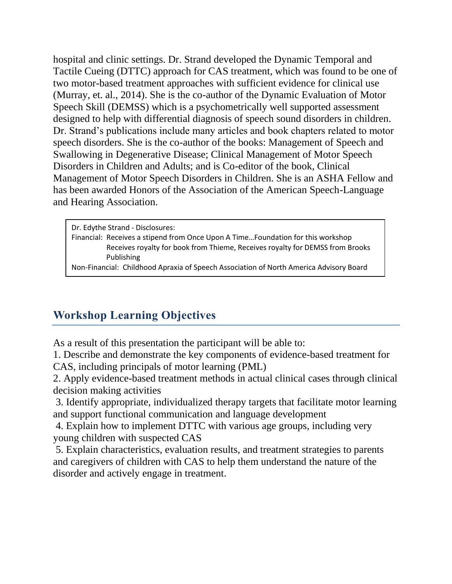hospital and clinic settings. Dr. Strand developed the Dynamic Temporal and Tactile Cueing (DTTC) approach for CAS treatment, which was found to be one of two motor-based treatment approaches with sufficient evidence for clinical use (Murray, et. al., 2014). She is the co-author of the Dynamic Evaluation of Motor Speech Skill (DEMSS) which is a psychometrically well supported assessment designed to help with differential diagnosis of speech sound disorders in children. Dr. Strand's publications include many articles and book chapters related to motor speech disorders. She is the co-author of the books: Management of Speech and Swallowing in Degenerative Disease; Clinical Management of Motor Speech Disorders in Children and Adults; and is Co-editor of the book, Clinical Management of Motor Speech Disorders in Children. She is an ASHA Fellow and has been awarded Honors of the Association of the American Speech-Language and Hearing Association.

Dr. Edythe Strand - Disclosures: Financial: Receives a stipend from Once Upon A Time…Foundation for this workshop Receives royalty for book from Thieme, Receives royalty for DEMSS from Brooks Publishing

Non-Financial: Childhood Apraxia of Speech Association of North America Advisory Board

## **Workshop Learning Objectives**

As a result of this presentation the participant will be able to:

1. Describe and demonstrate the key components of evidence-based treatment for CAS, including principals of motor learning (PML)

2. Apply evidence-based treatment methods in actual clinical cases through clinical decision making activities

3. Identify appropriate, individualized therapy targets that facilitate motor learning and support functional communication and language development

4. Explain how to implement DTTC with various age groups, including very young children with suspected CAS

5. Explain characteristics, evaluation results, and treatment strategies to parents and caregivers of children with CAS to help them understand the nature of the disorder and actively engage in treatment.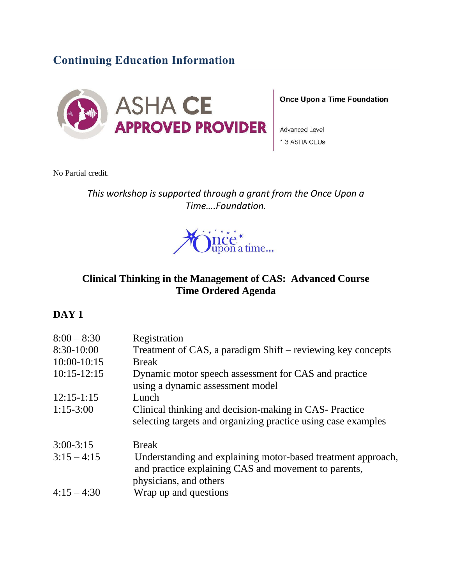## **Continuing Education Information**



#### **Once Upon a Time Foundation**

Advanced Level 1.3 ASHA CEUs

No Partial credit.

*This workshop is supported through a grant from the Once Upon a Time….Foundation.*



#### **Clinical Thinking in the Management of CAS: Advanced Course Time Ordered Agenda**

#### **DAY 1**

| $8:00 - 8:30$ | Registration                                                                                                                                   |
|---------------|------------------------------------------------------------------------------------------------------------------------------------------------|
| 8:30-10:00    | Treatment of CAS, a paradigm Shift – reviewing key concepts                                                                                    |
| $10:00-10:15$ | <b>Break</b>                                                                                                                                   |
| $10:15-12:15$ | Dynamic motor speech assessment for CAS and practice<br>using a dynamic assessment model                                                       |
| $12:15-1:15$  | Lunch                                                                                                                                          |
| $1:15-3:00$   | Clinical thinking and decision-making in CAS- Practice<br>selecting targets and organizing practice using case examples                        |
| $3:00 - 3:15$ | <b>Break</b>                                                                                                                                   |
| $3:15 - 4:15$ | Understanding and explaining motor-based treatment approach,<br>and practice explaining CAS and movement to parents,<br>physicians, and others |
| $4:15 - 4:30$ | Wrap up and questions                                                                                                                          |
|               |                                                                                                                                                |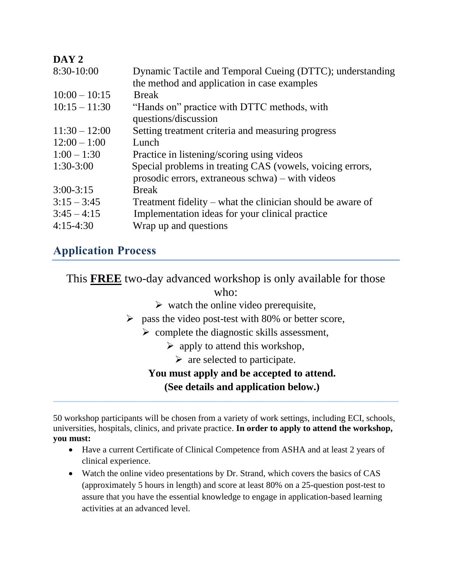#### **DAY 2**

| 8:30-10:00      | Dynamic Tactile and Temporal Cueing (DTTC); understanding  |
|-----------------|------------------------------------------------------------|
|                 | the method and application in case examples                |
| $10:00 - 10:15$ | <b>Break</b>                                               |
| $10:15 - 11:30$ | "Hands on" practice with DTTC methods, with                |
|                 | questions/discussion                                       |
| $11:30 - 12:00$ | Setting treatment criteria and measuring progress          |
| $12:00 - 1:00$  | Lunch                                                      |
| $1:00 - 1:30$   | Practice in listening/scoring using videos                 |
| $1:30-3:00$     | Special problems in treating CAS (vowels, voicing errors,  |
|                 | prosodic errors, extraneous schwa) – with videos           |
| $3:00 - 3:15$   | <b>Break</b>                                               |
| $3:15 - 3:45$   | Treatment fidelity – what the clinician should be aware of |
| $3:45 - 4:15$   | Implementation ideas for your clinical practice            |
| $4:15-4:30$     | Wrap up and questions                                      |
|                 |                                                            |

## **Application Process**

This **FREE** two-day advanced workshop is only available for those

who:

- $\triangleright$  watch the online video prerequisite,
- $\triangleright$  pass the video post-test with 80% or better score,
	- $\triangleright$  complete the diagnostic skills assessment,
		- $\triangleright$  apply to attend this workshop,
			- $\triangleright$  are selected to participate.

#### **You must apply and be accepted to attend. (See details and application below.)**

50 workshop participants will be chosen from a variety of work settings, including ECI, schools, universities, hospitals, clinics, and private practice. **In order to apply to attend the workshop, you must:**

- Have a current Certificate of Clinical Competence from ASHA and at least 2 years of clinical experience.
- Watch the online video presentations by Dr. Strand, which covers the basics of CAS (approximately 5 hours in length) and score at least 80% on a 25-question post-test to assure that you have the essential knowledge to engage in application-based learning activities at an advanced level.